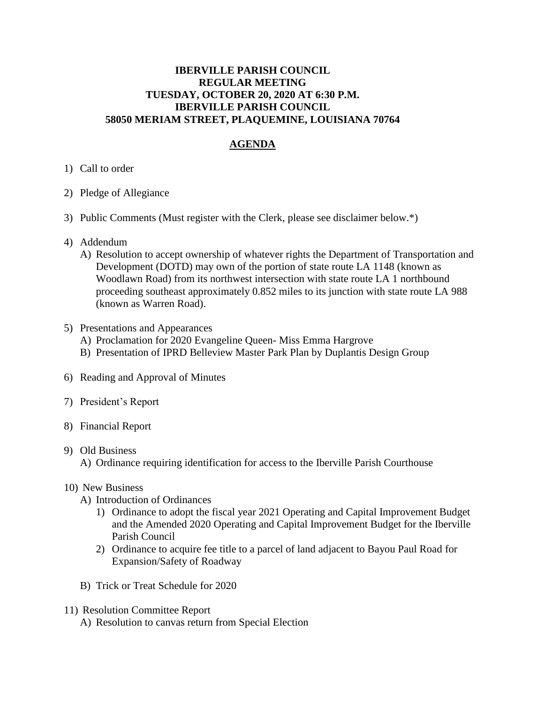## **IBERVILLE PARISH COUNCIL REGULAR MEETING TUESDAY, OCTOBER 20, 2020 AT 6:30 P.M. IBERVILLE PARISH COUNCIL 58050 MERIAM STREET, PLAQUEMINE, LOUISIANA 70764**

## **AGENDA**

- 1) Call to order
- 2) Pledge of Allegiance
- 3) Public Comments (Must register with the Clerk, please see disclaimer below.\*)
- 4) Addendum
	- A) Resolution to accept ownership of whatever rights the Department of Transportation and Development (DOTD) may own of the portion of state route LA 1148 (known as Woodlawn Road) from its northwest intersection with state route LA 1 northbound proceeding southeast approximately 0.852 miles to its junction with state route LA 988 (known as Warren Road).
- 5) Presentations and Appearances
	- A) Proclamation for 2020 Evangeline Queen- Miss Emma Hargrove
	- B) Presentation of IPRD Belleview Master Park Plan by Duplantis Design Group
- 6) Reading and Approval of Minutes
- 7) President's Report
- 8) Financial Report
- 9) Old Business
	- A) Ordinance requiring identification for access to the Iberville Parish Courthouse
- 10) New Business
	- A) Introduction of Ordinances
		- 1) Ordinance to adopt the fiscal year 2021 Operating and Capital Improvement Budget and the Amended 2020 Operating and Capital Improvement Budget for the Iberville Parish Council
		- 2) Ordinance to acquire fee title to a parcel of land adjacent to Bayou Paul Road for Expansion/Safety of Roadway
	- B) Trick or Treat Schedule for 2020
- 11) Resolution Committee Report
	- A) Resolution to canvas return from Special Election